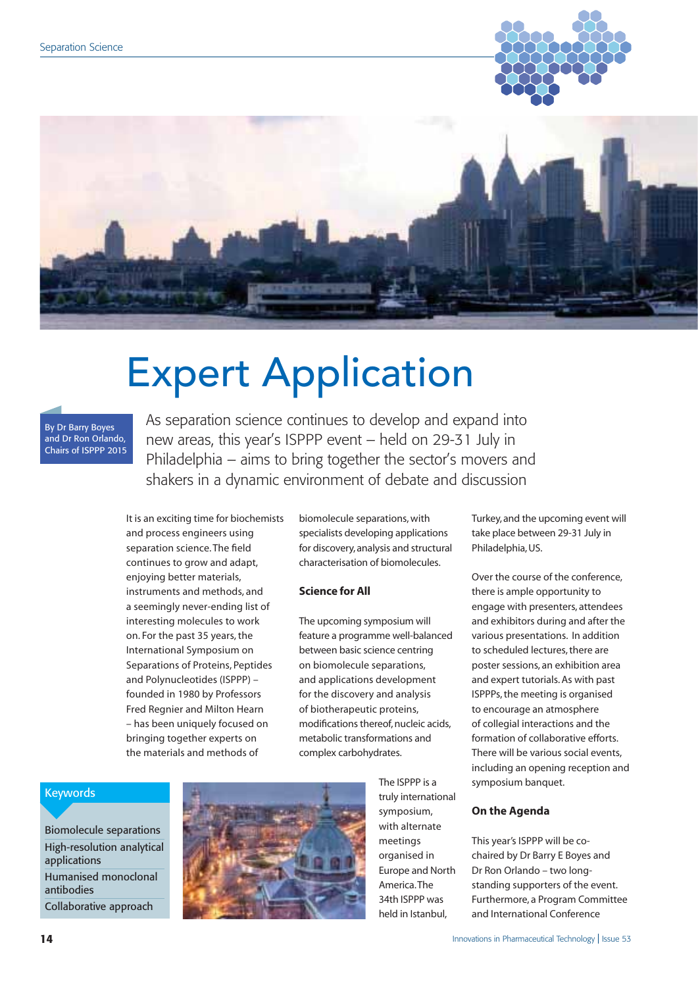



# Expert Application

#### By Dr Barry Boyes and Dr Ron Orlando, Chairs of ISPPP 2015

As separation science continues to develop and expand into new areas, this year's ISPPP event – held on 29-31 July in Philadelphia – aims to bring together the sector's movers and shakers in a dynamic environment of debate and discussion

It is an exciting time for biochemists and process engineers using separation science. The field continues to grow and adapt, enjoying better materials, instruments and methods, and a seemingly never-ending list of interesting molecules to work on. For the past 35 years, the International Symposium on Separations of Proteins, Peptides and Polynucleotides (ISPPP) – founded in 1980 by Professors Fred Regnier and Milton Hearn – has been uniquely focused on bringing together experts on the materials and methods of

biomolecule separations, with specialists developing applications for discovery, analysis and structural characterisation of biomolecules.

# **Science for All**

The upcoming symposium will feature a programme well-balanced between basic science centring on biomolecule separations, and applications development for the discovery and analysis of biotherapeutic proteins, modifications thereof, nucleic acids, metabolic transformations and complex carbohydrates.

Turkey, and the upcoming event will take place between 29-31 July in Philadelphia, US.

Over the course of the conference, there is ample opportunity to engage with presenters, attendees and exhibitors during and after the various presentations. In addition to scheduled lectures, there are poster sessions, an exhibition area and expert tutorials. As with past ISPPPs, the meeting is organised to encourage an atmosphere of collegial interactions and the formation of collaborative efforts. There will be various social events, including an opening reception and symposium banquet.

# Keywords

Biomolecule separations High-resolution analytical applications Humanised monoclonal antibodies Collaborative approach



The ISPPP is a truly international symposium, with alternate meetings organised in Europe and North America. The 34th ISPPP was held in Istanbul,

### **On the Agenda**

This year's ISPPP will be cochaired by Dr Barry E Boyes and Dr Ron Orlando – two longstanding supporters of the event. Furthermore, a Program Committee and International Conference